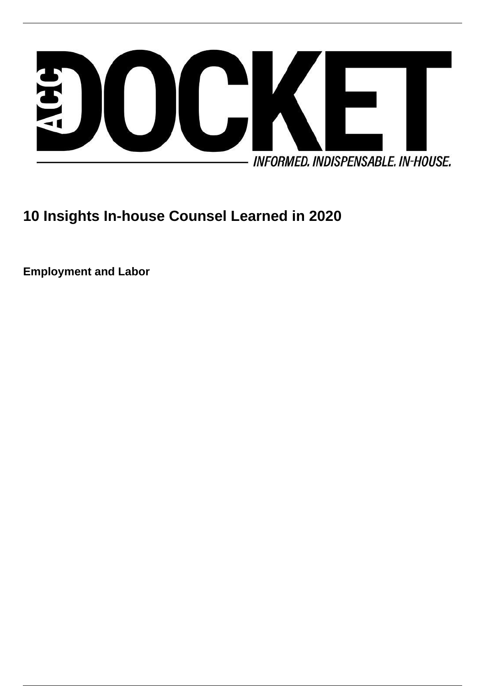

# **10 Insights In-house Counsel Learned in 2020**

**Employment and Labor**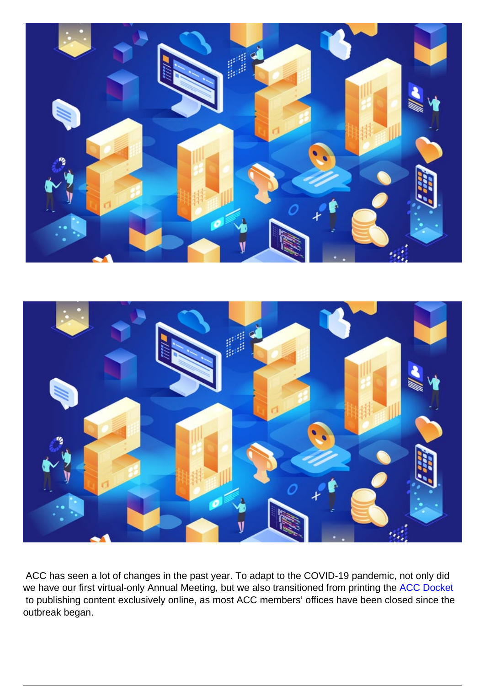



 ACC has seen a lot of changes in the past year. To adapt to the COVID-19 pandemic, not only did we have our first virtual-only Annual Meeting, but we also transitioned from printing the [ACC Docket](https://www.accdigitaldocket.com/) to publishing content exclusively online, as most ACC members' offices have been closed since the outbreak began.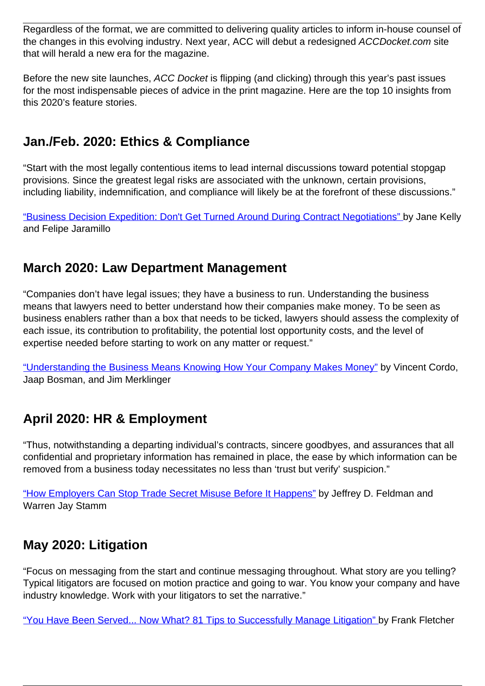Regardless of the format, we are committed to delivering quality articles to inform in-house counsel of the changes in this evolving industry. Next year, ACC will debut a redesigned ACCDocket.com site that will herald a new era for the magazine.

Before the new site launches, ACC Docket is flipping (and clicking) through this year's past issues for the most indispensable pieces of advice in the print magazine. Here are the top 10 insights from this 2020's feature stories.

## **Jan./Feb. 2020: Ethics & Compliance**

"Start with the most legally contentious items to lead internal discussions toward potential stopgap provisions. Since the greatest legal risks are associated with the unknown, certain provisions, including liability, indemnification, and compliance will likely be at the forefront of these discussions."

["Business Decision Expedition: Don't Get Turned Around During Contract Negotiations" b](https://www.accdigitaldocket.com/accdocket/january-february_2020/MobilePagedArticle.action?articleId=1554355&app=false#articleId1554355)y Jane Kelly and Felipe Jaramillo

#### **March 2020: Law Department Management**

"Companies don't have legal issues; they have a business to run. Understanding the business means that lawyers need to better understand how their companies make money. To be seen as business enablers rather than a box that needs to be ticked, lawyers should assess the complexity of each issue, its contribution to profitability, the potential lost opportunity costs, and the level of expertise needed before starting to work on any matter or request."

["Understanding the Business Means Knowing How Your Company Makes Money"](https://www.accdigitaldocket.com/accdocket/march_2020/MobilePagedReplica.action?pm=2&folio=2#pg4) by Vincent Cordo, Jaap Bosman, and Jim Merklinger

# **April 2020: HR & Employment**

"Thus, notwithstanding a departing individual's contracts, sincere goodbyes, and assurances that all confidential and proprietary information has remained in place, the ease by which information can be removed from a business today necessitates no less than 'trust but verify' suspicion."

["How Employers Can Stop Trade Secret Misuse Before It Happens"](https://www.accdigitaldocket.com/accdocket/april_2020/MobilePagedArticle.action?articleId=1572570&app=false#articleId1572570) by Jeffrey D. Feldman and Warren Jay Stamm

### **May 2020: Litigation**

"Focus on messaging from the start and continue messaging throughout. What story are you telling? Typical litigators are focused on motion practice and going to war. You know your company and have industry knowledge. Work with your litigators to set the narrative."

["You Have Been Served... Now What? 81 Tips to Successfully Manage Litigation" b](http://accdigitaldocket.com/accdocket/may_2020/MobilePagedArticle.action?articleId=1582878&app=false#articleId1582878)y Frank Fletcher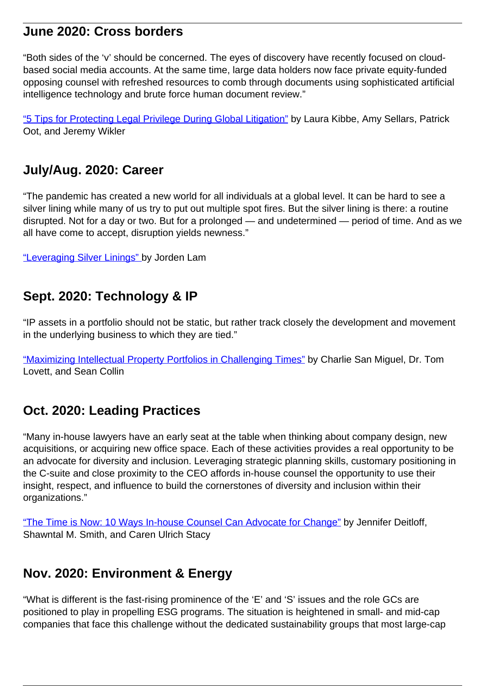#### **June 2020: Cross borders**

"Both sides of the 'v' should be concerned. The eyes of discovery have recently focused on cloudbased social media accounts. At the same time, large data holders now face private equity-funded opposing counsel with refreshed resources to comb through documents using sophisticated artificial intelligence technology and brute force human document review."

["5 Tips for Protecting Legal Privilege During Global Litigation"](https://www.accdigitaldocket.com/accdocket/june_2020/MobilePagedArticle.action?articleId=1589625&app=false#articleId1589625) by Laura Kibbe, Amy Sellars, Patrick Oot, and Jeremy Wikler

#### **July/Aug. 2020: Career**

"The pandemic has created a new world for all individuals at a global level. It can be hard to see a silver lining while many of us try to put out multiple spot fires. But the silver lining is there: a routine disrupted. Not for a day or two. But for a prolonged — and undetermined — period of time. And as we all have come to accept, disruption yields newness."

["Leveraging Silver Linings" b](https://www.accdigitaldocket.com/accdocket/july-august_2020/MobilePagedArticle.action?articleId=1604625&app=false#articleId1604625)y Jorden Lam

#### **Sept. 2020: Technology & IP**

"IP assets in a portfolio should not be static, but rather track closely the development and movement in the underlying business to which they are tied."

["Maximizing Intellectual Property Portfolios in Challenging Times"](https://www.accdigitaldocket.com/accdocket/september_2020/MobilePagedArticle.action?articleId=1614918&app=false#articleId1614918) by Charlie San Miguel, Dr. Tom Lovett, and Sean Collin

#### **Oct. 2020: Leading Practices**

"Many in-house lawyers have an early seat at the table when thinking about company design, new acquisitions, or acquiring new office space. Each of these activities provides a real opportunity to be an advocate for diversity and inclusion. Leveraging strategic planning skills, customary positioning in the C-suite and close proximity to the CEO affords in-house counsel the opportunity to use their insight, respect, and influence to build the cornerstones of diversity and inclusion within their organizations."

["The Time is Now: 10 Ways In-house Counsel Can Advocate for Change"](https://www.accdigitaldocket.com/accdocket/october_2020/MobilePagedArticle.action?articleId=1623862&app=false#articleId1623862) by Jennifer Deitloff, Shawntal M. Smith, and Caren Ulrich Stacy

#### **Nov. 2020: Environment & Energy**

"What is different is the fast-rising prominence of the 'E' and 'S' issues and the role GCs are positioned to play in propelling ESG programs. The situation is heightened in small- and mid-cap companies that face this challenge without the dedicated sustainability groups that most large-cap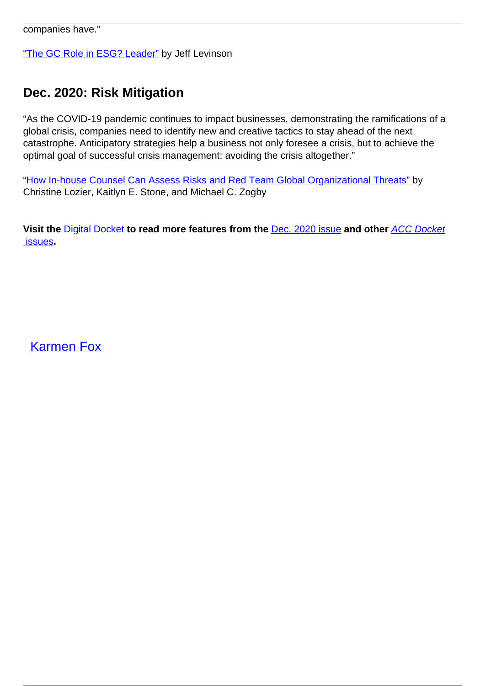companies have."

["The GC Role in ESG? Leader"](https://www.accdigitaldocket.com/accdocket/november_2020/MobilePagedArticle.action?articleId=1634272&app=false#articleId1634272) by Jeff Levinson

## **Dec. 2020: Risk Mitigation**

"As the COVID-19 pandemic continues to impact businesses, demonstrating the ramifications of a global crisis, companies need to identify new and creative tactics to stay ahead of the next catastrophe. Anticipatory strategies help a business not only foresee a crisis, but to achieve the optimal goal of successful crisis management: avoiding the crisis altogether."

["How In-house Counsel Can Assess Risks and Red Team Global Organizational Threats" b](https://www.accdigitaldocket.com/accdocket/december_2020/MobilePagedArticle.action?articleId=1640124&app=false#articleId1640124)y Christine Lozier, Kaitlyn E. Stone, and Michael C. Zogby

**Visit the** [Digital Docket](https://www.accdigitaldocket.com/accdocket/december_2020/MobilePagedReplica.action?) **to read more features from the** [Dec. 2020 issue](https://www.accdigitaldocket.com/accdocket/december_2020) **and other** [ACC Docket](https://www.accdigitaldocket.com/accdocket/Store.action)  [issues](https://www.accdigitaldocket.com/accdocket/Store.action)**.**

[Karmen Fox](/author/karmen-fox)